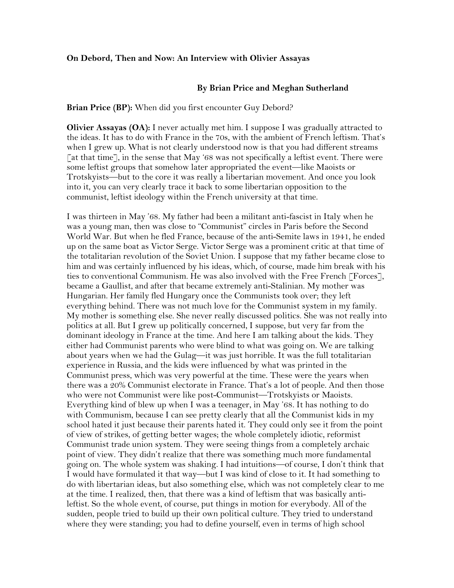#### **On Debord, Then and Now: An Interview with Olivier Assayas**

#### **By Brian Price and Meghan Sutherland**

**Brian Price (BP):** When did you first encounter Guy Debord?

**Olivier Assayas (OA):** I never actually met him. I suppose I was gradually attracted to the ideas. It has to do with France in the 70s, with the ambient of French leftism. That's when I grew up. What is not clearly understood now is that you had different streams  $\lceil$  at that time], in the sense that May '68 was not specifically a leftist event. There were some leftist groups that somehow later appropriated the event—like Maoists or Trotskyists—but to the core it was really a libertarian movement. And once you look into it, you can very clearly trace it back to some libertarian opposition to the communist, leftist ideology within the French university at that time.

I was thirteen in May '68. My father had been a militant anti-fascist in Italy when he was a young man, then was close to "Communist" circles in Paris before the Second World War. But when he fled France, because of the anti-Semite laws in 1941, he ended up on the same boat as Victor Serge. Victor Serge was a prominent critic at that time of the totalitarian revolution of the Soviet Union. I suppose that my father became close to him and was certainly influenced by his ideas, which, of course, made him break with his ties to conventional Communism. He was also involved with the Free French [Forces], became a Gaullist, and after that became extremely anti-Stalinian. My mother was Hungarian. Her family fled Hungary once the Communists took over; they left everything behind. There was not much love for the Communist system in my family. My mother is something else. She never really discussed politics. She was not really into politics at all. But I grew up politically concerned, I suppose, but very far from the dominant ideology in France at the time. And here I am talking about the kids. They either had Communist parents who were blind to what was going on. We are talking about years when we had the Gulag—it was just horrible. It was the full totalitarian experience in Russia, and the kids were influenced by what was printed in the Communist press, which was very powerful at the time. These were the years when there was a 20% Communist electorate in France. That's a lot of people. And then those who were not Communist were like post-Communist—Trotskyists or Maoists. Everything kind of blew up when I was a teenager, in May '68. It has nothing to do with Communism, because I can see pretty clearly that all the Communist kids in my school hated it just because their parents hated it. They could only see it from the point of view of strikes, of getting better wages; the whole completely idiotic, reformist Communist trade union system. They were seeing things from a completely archaic point of view. They didn't realize that there was something much more fundamental going on. The whole system was shaking. I had intuitions—of course, I don't think that I would have formulated it that way—but I was kind of close to it. It had something to do with libertarian ideas, but also something else, which was not completely clear to me at the time. I realized, then, that there was a kind of leftism that was basically antileftist. So the whole event, of course, put things in motion for everybody. All of the sudden, people tried to build up their own political culture. They tried to understand where they were standing; you had to define yourself, even in terms of high school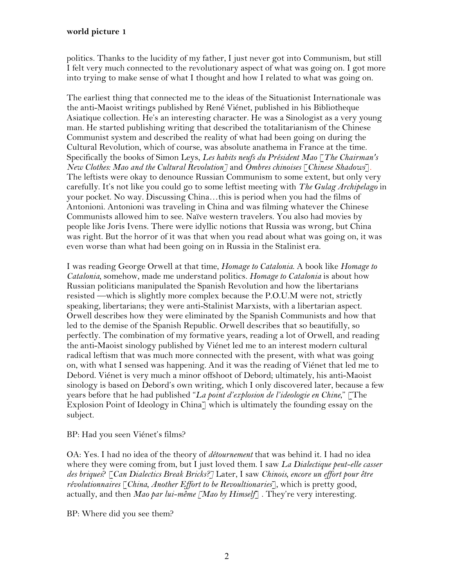politics. Thanks to the lucidity of my father, I just never got into Communism, but still I felt very much connected to the revolutionary aspect of what was going on. I got more into trying to make sense of what I thought and how I related to what was going on.

The earliest thing that connected me to the ideas of the Situationist Internationale was the anti-Maoist writings published by René Viénet, published in his Bibliotheque Asiatique collection. He's an interesting character. He was a Sinologist as a very young man. He started publishing writing that described the totalitarianism of the Chinese Communist system and described the reality of what had been going on during the Cultural Revolution, which of course, was absolute anathema in France at the time. Specifically the books of Simon Leys, *Les habits neufs du Président Mao* [*The Chairman's New Clothes: Mao and the Cultural Revolution]* and *Ombres chinoises* [*Chinese Shadows*]*.* The leftists were okay to denounce Russian Communism to some extent, but only very carefully. It's not like you could go to some leftist meeting with *The Gulag Archipelago* in your pocket. No way. Discussing China…this is period when you had the films of Antonioni. Antonioni was traveling in China and was filming whatever the Chinese Communists allowed him to see. Naïve western travelers. You also had movies by people like Joris Ivens. There were idyllic notions that Russia was wrong, but China was right. But the horror of it was that when you read about what was going on, it was even worse than what had been going on in Russia in the Stalinist era.

I was reading George Orwell at that time, *Homage to Catalonia*. A book like *Homage to Catalonia,* somehow, made me understand politics. *Homage to Catalonia* is about how Russian politicians manipulated the Spanish Revolution and how the libertarians resisted —which is slightly more complex because the P.O.U.M were not, strictly speaking, libertarians; they were anti-Stalinist Marxists, with a libertarian aspect. Orwell describes how they were eliminated by the Spanish Communists and how that led to the demise of the Spanish Republic. Orwell describes that so beautifully, so perfectly. The combination of my formative years, reading a lot of Orwell, and reading the anti-Maoist sinology published by Viénet led me to an interest modern cultural radical leftism that was much more connected with the present, with what was going on, with what I sensed was happening. And it was the reading of Viénet that led me to Debord. Viénet is very much a minor offshoot of Debord; ultimately, his anti-Maoist sinology is based on Debord's own writing, which I only discovered later, because a few years before that he had published "*La point d'explosion de l'ideologie en Chine*," [The Explosion Point of Ideology in China<sup>-</sup> which is ultimately the founding essay on the subject.

#### BP: Had you seen Viénet's films?

OA: Yes. I had no idea of the theory of *détournement* that was behind it. I had no idea where they were coming from, but I just loved them. I saw *La Dialectique peut-elle casser des briques*? [*Can Dialectics Break Bricks?]* Later, I saw *Chinois, encore un effort pour être révolutionnaires* [*China, Another Effort to be Revoultionaries*]*,* which is pretty good, actually, and then *Mao par lui-même [Mao by Himself*] . They're very interesting.

BP: Where did you see them?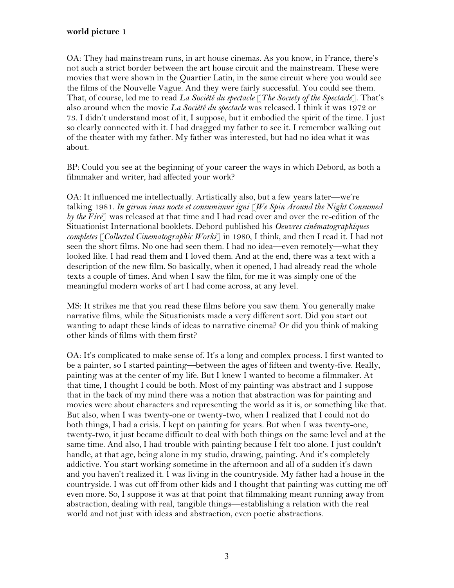OA: They had mainstream runs, in art house cinemas. As you know, in France, there's not such a strict border between the art house circuit and the mainstream. These were movies that were shown in the Quartier Latin, in the same circuit where you would see the films of the Nouvelle Vague. And they were fairly successful. You could see them. That, of course, led me to read *La Société du spectacle* [*The Society of the Spectacle*]. That's also around when the movie *La Société du spectacle* was released. I think it was 1972 or 73. I didn't understand most of it, I suppose, but it embodied the spirit of the time. I just so clearly connected with it. I had dragged my father to see it. I remember walking out of the theater with my father. My father was interested, but had no idea what it was about.

BP: Could you see at the beginning of your career the ways in which Debord, as both a filmmaker and writer, had affected your work?

OA: It influenced me intellectually. Artistically also, but a few years later—we're talking 1981. *In girum imus nocte et consumimur igni* [*We Spin Around the Night Consumed by the Fire*] was released at that time and I had read over and over the re-edition of the Situationist International booklets. Debord published his *Oeuvres cinématographiques completes* [*Collected Cinematographic Works*] in 1980, I think, and then I read it. I had not seen the short films. No one had seen them. I had no idea—even remotely—what they looked like. I had read them and I loved them. And at the end, there was a text with a description of the new film. So basically, when it opened, I had already read the whole texts a couple of times. And when I saw the film, for me it was simply one of the meaningful modern works of art I had come across, at any level.

MS: It strikes me that you read these films before you saw them. You generally make narrative films, while the Situationists made a very different sort. Did you start out wanting to adapt these kinds of ideas to narrative cinema? Or did you think of making other kinds of films with them first?

OA: It's complicated to make sense of. It's a long and complex process. I first wanted to be a painter, so I started painting—between the ages of fifteen and twenty-five. Really, painting was at the center of my life. But I knew I wanted to become a filmmaker. At that time, I thought I could be both. Most of my painting was abstract and I suppose that in the back of my mind there was a notion that abstraction was for painting and movies were about characters and representing the world as it is, or something like that. But also, when I was twenty-one or twenty-two, when I realized that I could not do both things, I had a crisis. I kept on painting for years. But when I was twenty-one, twenty-two, it just became difficult to deal with both things on the same level and at the same time. And also, I had trouble with painting because I felt too alone. I just couldn't handle, at that age, being alone in my studio, drawing, painting. And it's completely addictive. You start working sometime in the afternoon and all of a sudden it's dawn and you haven't realized it. I was living in the countryside. My father had a house in the countryside. I was cut off from other kids and I thought that painting was cutting me off even more. So, I suppose it was at that point that filmmaking meant running away from abstraction, dealing with real, tangible things—establishing a relation with the real world and not just with ideas and abstraction, even poetic abstractions.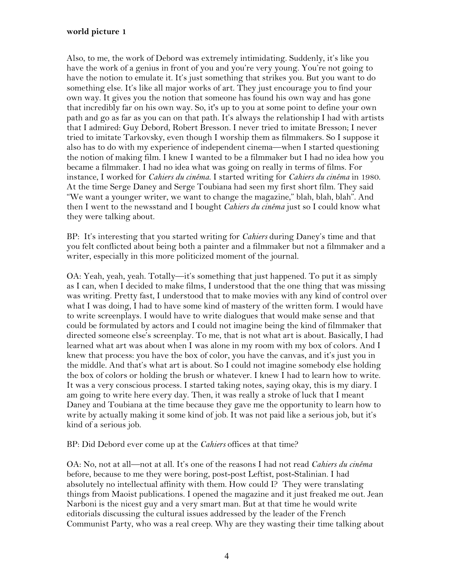Also, to me, the work of Debord was extremely intimidating. Suddenly, it's like you have the work of a genius in front of you and you're very young. You're not going to have the notion to emulate it. It's just something that strikes you. But you want to do something else. It's like all major works of art. They just encourage you to find your own way. It gives you the notion that someone has found his own way and has gone that incredibly far on his own way. So, it's up to you at some point to define your own path and go as far as you can on that path. It's always the relationship I had with artists that I admired: Guy Debord, Robert Bresson. I never tried to imitate Bresson; I never tried to imitate Tarkovsky, even though I worship them as filmmakers. So I suppose it also has to do with my experience of independent cinema—when I started questioning the notion of making film. I knew I wanted to be a filmmaker but I had no idea how you became a filmmaker. I had no idea what was going on really in terms of films. For instance, I worked for *Cahiers du cinéma*. I started writing for *Cahiers du cinéma* in 1980. At the time Serge Daney and Serge Toubiana had seen my first short film. They said "We want a younger writer, we want to change the magazine," blah, blah, blah". And then I went to the newsstand and I bought *Cahiers du cinéma* just so I could know what they were talking about.

BP: It's interesting that you started writing for *Cahiers* during Daney's time and that you felt conflicted about being both a painter and a filmmaker but not a filmmaker and a writer, especially in this more politicized moment of the journal.

OA: Yeah, yeah, yeah. Totally—it's something that just happened. To put it as simply as I can, when I decided to make films, I understood that the one thing that was missing was writing. Pretty fast, I understood that to make movies with any kind of control over what I was doing, I had to have some kind of mastery of the written form. I would have to write screenplays. I would have to write dialogues that would make sense and that could be formulated by actors and I could not imagine being the kind of filmmaker that directed someone else's screenplay. To me, that is not what art is about. Basically, I had learned what art was about when I was alone in my room with my box of colors. And I knew that process: you have the box of color, you have the canvas, and it's just you in the middle. And that's what art is about. So I could not imagine somebody else holding the box of colors or holding the brush or whatever. I knew I had to learn how to write. It was a very conscious process. I started taking notes, saying okay, this is my diary. I am going to write here every day. Then, it was really a stroke of luck that I meant Daney and Toubiana at the time because they gave me the opportunity to learn how to write by actually making it some kind of job. It was not paid like a serious job, but it's kind of a serious job.

BP: Did Debord ever come up at the *Cahiers* offices at that time?

OA: No, not at all—not at all. It's one of the reasons I had not read *Cahiers du cinéma* before, because to me they were boring, post-post Leftist, post-Stalinian. I had absolutely no intellectual affinity with them. How could I? They were translating things from Maoist publications. I opened the magazine and it just freaked me out. Jean Narboni is the nicest guy and a very smart man. But at that time he would write editorials discussing the cultural issues addressed by the leader of the French Communist Party, who was a real creep. Why are they wasting their time talking about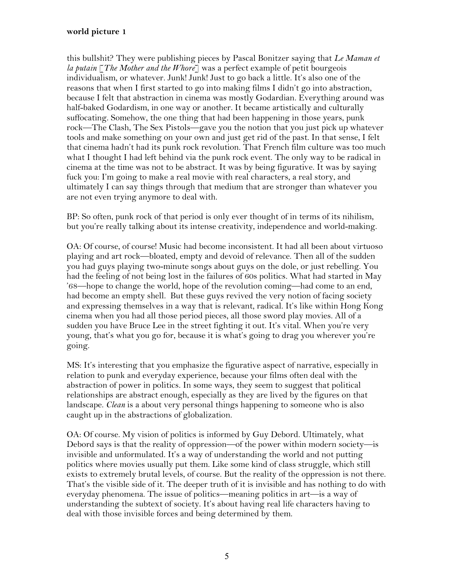this bullshit? They were publishing pieces by Pascal Bonitzer saying that *Le Maman et la putain* [*The Mother and the Whore*] was a perfect example of petit bourgeois individualism, or whatever. Junk! Junk! Just to go back a little. It's also one of the reasons that when I first started to go into making films I didn't go into abstraction, because I felt that abstraction in cinema was mostly Godardian. Everything around was half-baked Godardism, in one way or another. It became artistically and culturally suffocating. Somehow, the one thing that had been happening in those years, punk rock—The Clash, The Sex Pistols—gave you the notion that you just pick up whatever tools and make something on your own and just get rid of the past. In that sense, I felt that cinema hadn't had its punk rock revolution. That French film culture was too much what I thought I had left behind via the punk rock event. The only way to be radical in cinema at the time was not to be abstract. It was by being figurative. It was by saying fuck you: I'm going to make a real movie with real characters, a real story, and ultimately I can say things through that medium that are stronger than whatever you are not even trying anymore to deal with.

BP: So often, punk rock of that period is only ever thought of in terms of its nihilism, but you're really talking about its intense creativity, independence and world-making.

OA: Of course, of course! Music had become inconsistent. It had all been about virtuoso playing and art rock—bloated, empty and devoid of relevance. Then all of the sudden you had guys playing two-minute songs about guys on the dole, or just rebelling. You had the feeling of not being lost in the failures of 60s politics. What had started in May '68—hope to change the world, hope of the revolution coming—had come to an end, had become an empty shell. But these guys revived the very notion of facing society and expressing themselves in a way that is relevant, radical. It's like within Hong Kong cinema when you had all those period pieces, all those sword play movies. All of a sudden you have Bruce Lee in the street fighting it out. It's vital. When you're very young, that's what you go for, because it is what's going to drag you wherever you're going.

MS: It's interesting that you emphasize the figurative aspect of narrative, especially in relation to punk and everyday experience, because your films often deal with the abstraction of power in politics. In some ways, they seem to suggest that political relationships are abstract enough, especially as they are lived by the figures on that landscape. *Clean* is a about very personal things happening to someone who is also caught up in the abstractions of globalization.

OA: Of course. My vision of politics is informed by Guy Debord. Ultimately, what Debord says is that the reality of oppression—of the power within modern society—is invisible and unformulated. It's a way of understanding the world and not putting politics where movies usually put them. Like some kind of class struggle, which still exists to extremely brutal levels, of course. But the reality of the oppression is not there. That's the visible side of it. The deeper truth of it is invisible and has nothing to do with everyday phenomena. The issue of politics—meaning politics in art—is a way of understanding the subtext of society. It's about having real life characters having to deal with those invisible forces and being determined by them.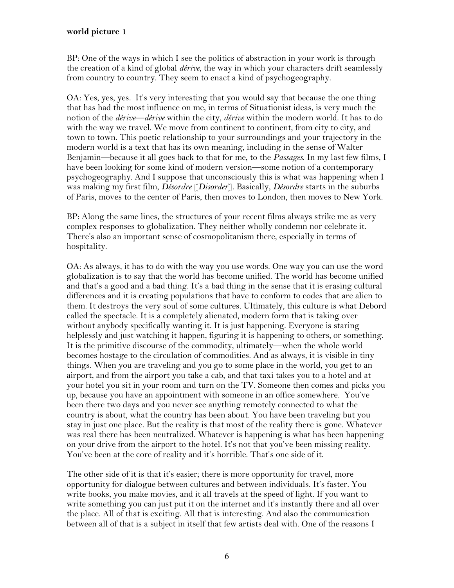BP: One of the ways in which I see the politics of abstraction in your work is through the creation of a kind of global *dérive*, the way in which your characters drift seamlessly from country to country. They seem to enact a kind of psychogeography.

OA: Yes, yes, yes. It's very interesting that you would say that because the one thing that has had the most influence on me, in terms of Situationist ideas, is very much the notion of the *dérive*—*dérive* within the city, *dérive* within the modern world. It has to do with the way we travel. We move from continent to continent, from city to city, and town to town. This poetic relationship to your surroundings and your trajectory in the modern world is a text that has its own meaning, including in the sense of Walter Benjamin—because it all goes back to that for me, to the *Passages*. In my last few films, I have been looking for some kind of modern version—some notion of a contemporary psychogeography. And I suppose that unconsciously this is what was happening when I was making my first film, *Désordre* [*Disorder*]. Basically, *Désordre* starts in the suburbs of Paris, moves to the center of Paris, then moves to London, then moves to New York.

BP: Along the same lines, the structures of your recent films always strike me as very complex responses to globalization. They neither wholly condemn nor celebrate it. There's also an important sense of cosmopolitanism there, especially in terms of hospitality.

OA: As always, it has to do with the way you use words. One way you can use the word globalization is to say that the world has become unified. The world has become unified and that's a good and a bad thing. It's a bad thing in the sense that it is erasing cultural differences and it is creating populations that have to conform to codes that are alien to them. It destroys the very soul of some cultures. Ultimately, this culture is what Debord called the spectacle. It is a completely alienated, modern form that is taking over without anybody specifically wanting it. It is just happening. Everyone is staring helplessly and just watching it happen, figuring it is happening to others, or something. It is the primitive discourse of the commodity, ultimately—when the whole world becomes hostage to the circulation of commodities. And as always, it is visible in tiny things. When you are traveling and you go to some place in the world, you get to an airport, and from the airport you take a cab, and that taxi takes you to a hotel and at your hotel you sit in your room and turn on the TV. Someone then comes and picks you up, because you have an appointment with someone in an office somewhere. You've been there two days and you never see anything remotely connected to what the country is about, what the country has been about. You have been traveling but you stay in just one place. But the reality is that most of the reality there is gone. Whatever was real there has been neutralized. Whatever is happening is what has been happening on your drive from the airport to the hotel. It's not that you've been missing reality. You've been at the core of reality and it's horrible. That's one side of it.

The other side of it is that it's easier; there is more opportunity for travel, more opportunity for dialogue between cultures and between individuals. It's faster. You write books, you make movies, and it all travels at the speed of light. If you want to write something you can just put it on the internet and it's instantly there and all over the place. All of that is exciting. All that is interesting. And also the communication between all of that is a subject in itself that few artists deal with. One of the reasons I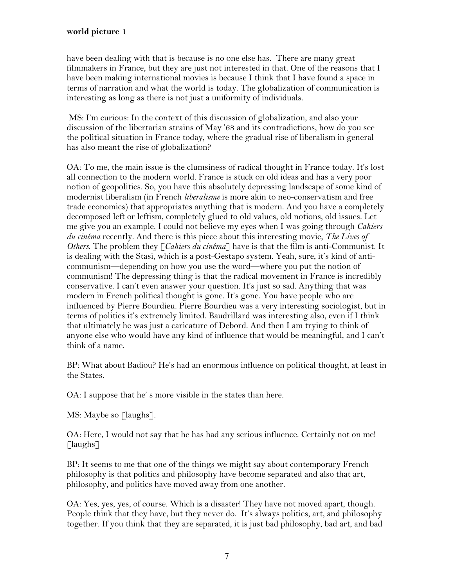have been dealing with that is because is no one else has. There are many great filmmakers in France, but they are just not interested in that. One of the reasons that I have been making international movies is because I think that I have found a space in terms of narration and what the world is today. The globalization of communication is interesting as long as there is not just a uniformity of individuals.

 MS: I'm curious: In the context of this discussion of globalization, and also your discussion of the libertarian strains of May '68 and its contradictions, how do you see the political situation in France today, where the gradual rise of liberalism in general has also meant the rise of globalization?

OA: To me, the main issue is the clumsiness of radical thought in France today. It's lost all connection to the modern world. France is stuck on old ideas and has a very poor notion of geopolitics. So, you have this absolutely depressing landscape of some kind of modernist liberalism (in French *liberalisme* is more akin to neo-conservatism and free trade economics) that appropriates anything that is modern. And you have a completely decomposed left or leftism, completely glued to old values, old notions, old issues. Let me give you an example. I could not believe my eyes when I was going through *Cahiers du cinéma* recently. And there is this piece about this interesting movie, *The Lives of Others*. The problem they [*Cahiers du cinéma*] have is that the film is anti-Communist. It is dealing with the Stasi, which is a post-Gestapo system. Yeah, sure, it's kind of anticommunism—depending on how you use the word—where you put the notion of communism! The depressing thing is that the radical movement in France is incredibly conservative. I can't even answer your question. It's just so sad. Anything that was modern in French political thought is gone. It's gone. You have people who are influenced by Pierre Bourdieu. Pierre Bourdieu was a very interesting sociologist, but in terms of politics it's extremely limited. Baudrillard was interesting also, even if I think that ultimately he was just a caricature of Debord. And then I am trying to think of anyone else who would have any kind of influence that would be meaningful, and I can't think of a name.

BP: What about Badiou? He's had an enormous influence on political thought, at least in the States.

OA: I suppose that he' s more visible in the states than here.

MS: Maybe so [laughs].

OA: Here, I would not say that he has had any serious influence. Certainly not on me!  $\lceil$ laughs $\lceil$ 

BP: It seems to me that one of the things we might say about contemporary French philosophy is that politics and philosophy have become separated and also that art, philosophy, and politics have moved away from one another.

OA: Yes, yes, yes, of course. Which is a disaster! They have not moved apart, though. People think that they have, but they never do. It's always politics, art, and philosophy together. If you think that they are separated, it is just bad philosophy, bad art, and bad